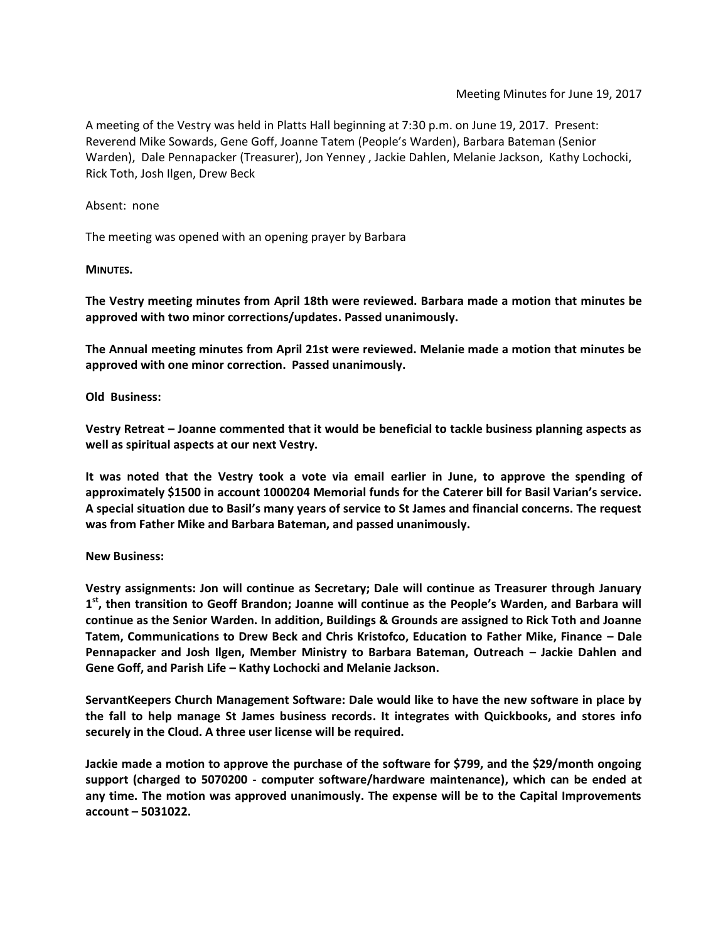A meeting of the Vestry was held in Platts Hall beginning at 7:30 p.m. on June 19, 2017. Present: Reverend Mike Sowards, Gene Goff, Joanne Tatem (People's Warden), Barbara Bateman (Senior Warden), Dale Pennapacker (Treasurer), Jon Yenney , Jackie Dahlen, Melanie Jackson, Kathy Lochocki, Rick Toth, Josh Ilgen, Drew Beck

Absent: none

The meeting was opened with an opening prayer by Barbara

**MINUTES.**

**The Vestry meeting minutes from April 18th were reviewed. Barbara made a motion that minutes be approved with two minor corrections/updates. Passed unanimously.**

**The Annual meeting minutes from April 21st were reviewed. Melanie made a motion that minutes be approved with one minor correction. Passed unanimously.**

**Old Business:**

**Vestry Retreat – Joanne commented that it would be beneficial to tackle business planning aspects as well as spiritual aspects at our next Vestry.** 

**It was noted that the Vestry took a vote via email earlier in June, to approve the spending of approximately \$1500 in account 1000204 Memorial funds for the Caterer bill for Basil Varian's service. A special situation due to Basil's many years of service to St James and financial concerns. The request was from Father Mike and Barbara Bateman, and passed unanimously.**

**New Business:**

**Vestry assignments: Jon will continue as Secretary; Dale will continue as Treasurer through January 1 st, then transition to Geoff Brandon; Joanne will continue as the People's Warden, and Barbara will continue as the Senior Warden. In addition, Buildings & Grounds are assigned to Rick Toth and Joanne Tatem, Communications to Drew Beck and Chris Kristofco, Education to Father Mike, Finance – Dale Pennapacker and Josh Ilgen, Member Ministry to Barbara Bateman, Outreach – Jackie Dahlen and Gene Goff, and Parish Life – Kathy Lochocki and Melanie Jackson.**

**ServantKeepers Church Management Software: Dale would like to have the new software in place by the fall to help manage St James business records. It integrates with Quickbooks, and stores info securely in the Cloud. A three user license will be required.**

**Jackie made a motion to approve the purchase of the software for \$799, and the \$29/month ongoing support (charged to 5070200 - computer software/hardware maintenance), which can be ended at any time. The motion was approved unanimously. The expense will be to the Capital Improvements account – 5031022.**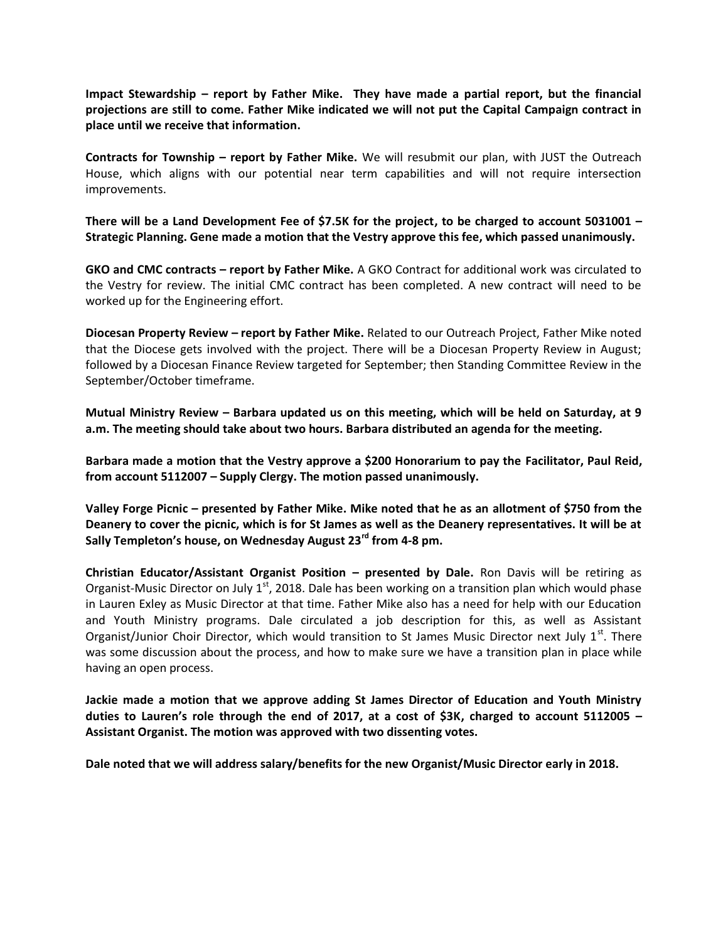**Impact Stewardship – report by Father Mike. They have made a partial report, but the financial projections are still to come. Father Mike indicated we will not put the Capital Campaign contract in place until we receive that information.**

**Contracts for Township – report by Father Mike.** We will resubmit our plan, with JUST the Outreach House, which aligns with our potential near term capabilities and will not require intersection improvements.

**There will be a Land Development Fee of \$7.5K for the project, to be charged to account 5031001 – Strategic Planning. Gene made a motion that the Vestry approve this fee, which passed unanimously.**

**GKO and CMC contracts – report by Father Mike.** A GKO Contract for additional work was circulated to the Vestry for review. The initial CMC contract has been completed. A new contract will need to be worked up for the Engineering effort.

**Diocesan Property Review – report by Father Mike.** Related to our Outreach Project, Father Mike noted that the Diocese gets involved with the project. There will be a Diocesan Property Review in August; followed by a Diocesan Finance Review targeted for September; then Standing Committee Review in the September/October timeframe.

**Mutual Ministry Review – Barbara updated us on this meeting, which will be held on Saturday, at 9 a.m. The meeting should take about two hours. Barbara distributed an agenda for the meeting.**

**Barbara made a motion that the Vestry approve a \$200 Honorarium to pay the Facilitator, Paul Reid, from account 5112007 – Supply Clergy. The motion passed unanimously.**

**Valley Forge Picnic – presented by Father Mike. Mike noted that he as an allotment of \$750 from the Deanery to cover the picnic, which is for St James as well as the Deanery representatives. It will be at Sally Templeton's house, on Wednesday August 23rd from 4-8 pm.**

**Christian Educator/Assistant Organist Position – presented by Dale.** Ron Davis will be retiring as Organist-Music Director on July  $1<sup>st</sup>$ , 2018. Dale has been working on a transition plan which would phase in Lauren Exley as Music Director at that time. Father Mike also has a need for help with our Education and Youth Ministry programs. Dale circulated a job description for this, as well as Assistant Organist/Junior Choir Director, which would transition to St James Music Director next July  $1<sup>st</sup>$ . There was some discussion about the process, and how to make sure we have a transition plan in place while having an open process.

**Jackie made a motion that we approve adding St James Director of Education and Youth Ministry duties to Lauren's role through the end of 2017, at a cost of \$3K, charged to account 5112005 – Assistant Organist. The motion was approved with two dissenting votes.**

**Dale noted that we will address salary/benefits for the new Organist/Music Director early in 2018.**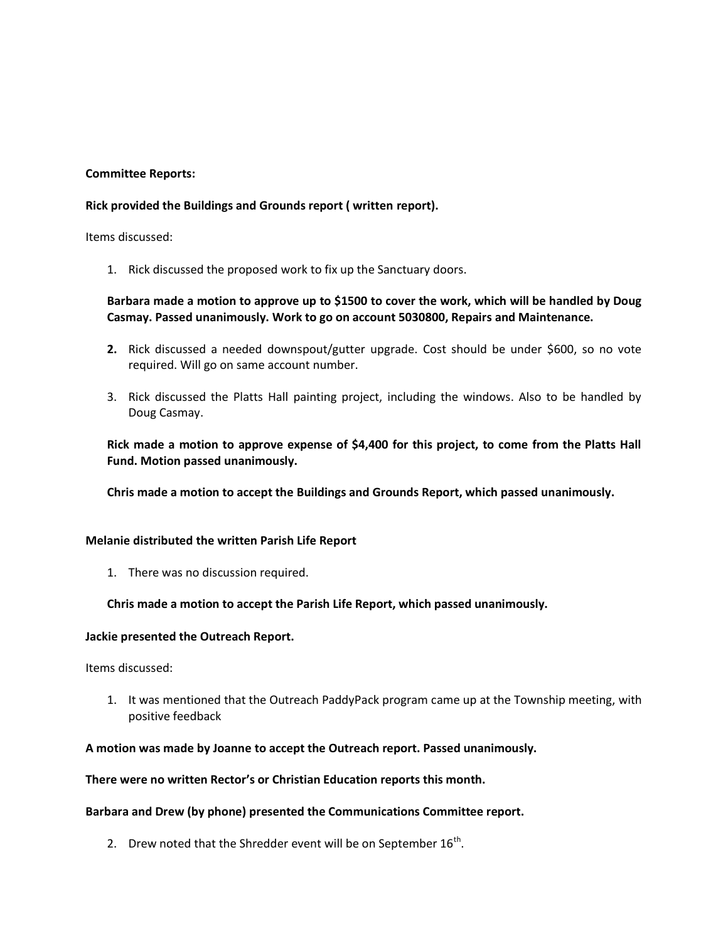## **Committee Reports:**

### **Rick provided the Buildings and Grounds report ( written report).**

Items discussed:

1. Rick discussed the proposed work to fix up the Sanctuary doors.

# **Barbara made a motion to approve up to \$1500 to cover the work, which will be handled by Doug Casmay. Passed unanimously. Work to go on account 5030800, Repairs and Maintenance.**

- **2.** Rick discussed a needed downspout/gutter upgrade. Cost should be under \$600, so no vote required. Will go on same account number.
- 3. Rick discussed the Platts Hall painting project, including the windows. Also to be handled by Doug Casmay.

**Rick made a motion to approve expense of \$4,400 for this project, to come from the Platts Hall Fund. Motion passed unanimously.**

**Chris made a motion to accept the Buildings and Grounds Report, which passed unanimously.**

#### **Melanie distributed the written Parish Life Report**

1. There was no discussion required.

## **Chris made a motion to accept the Parish Life Report, which passed unanimously.**

#### **Jackie presented the Outreach Report.**

Items discussed:

1. It was mentioned that the Outreach PaddyPack program came up at the Township meeting, with positive feedback

#### **A motion was made by Joanne to accept the Outreach report. Passed unanimously.**

**There were no written Rector's or Christian Education reports this month.**

#### **Barbara and Drew (by phone) presented the Communications Committee report.**

2. Drew noted that the Shredder event will be on September  $16^{th}$ .